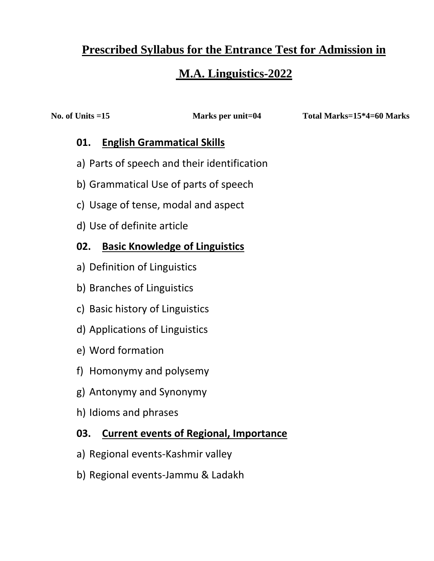# **Prescribed Syllabus for the Entrance Test for Admission in**

# **M.A. Linguistics-2022**

**No. of Units =15 Marks per unit=04 Total Marks=15\*4=60 Marks**

#### **01. English Grammatical Skills**

- a) Parts of speech and their identification
- b) Grammatical Use of parts of speech
- c) Usage of tense, modal and aspect
- d) Use of definite article

### **02. Basic Knowledge of Linguistics**

- a) Definition of Linguistics
- b) Branches of Linguistics
- c) Basic history of Linguistics
- d) Applications of Linguistics
- e) Word formation
- f) Homonymy and polysemy
- g) Antonymy and Synonymy
- h) Idioms and phrases

#### **03. Current events of Regional, Importance**

- a) Regional events-Kashmir valley
- b) Regional events-Jammu & Ladakh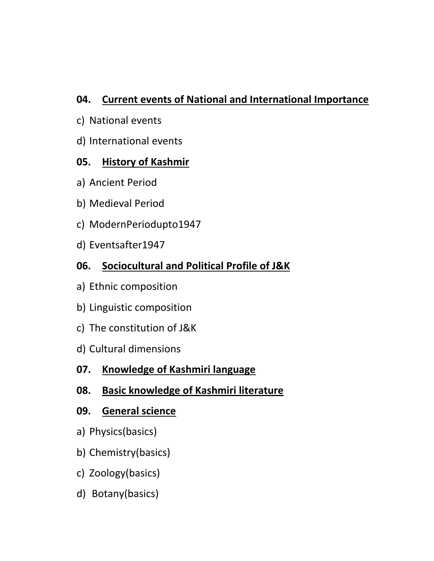### **04. Current events of National and International Importance**

- c) National events
- d) International events

### **05. History of Kashmir**

- a) Ancient Period
- b) Medieval Period
- c) ModernPeriodupto1947
- d) Eventsafter1947

## **06. Sociocultural and Political Profile of J&K**

- a) Ethnic composition
- b) Linguistic composition
- c) The constitution of J&K
- d) Cultural dimensions

### **07. Knowledge of Kashmiri language**

### **08. Basic knowledge of Kashmiri literature**

#### **09. General science**

- a) Physics(basics)
- b) Chemistry(basics)
- c) Zoology(basics)
- d) Botany(basics)